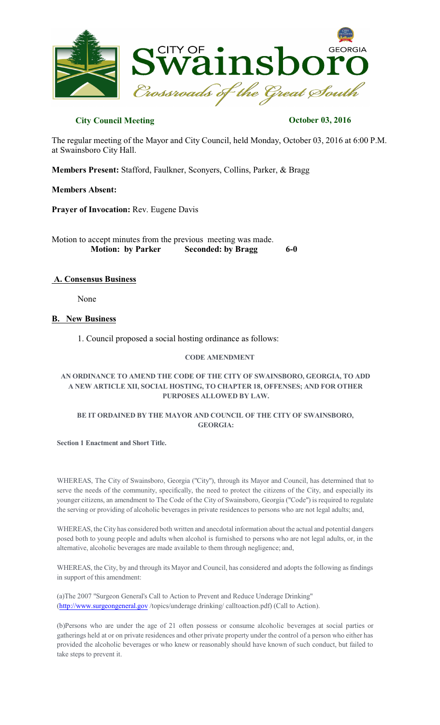

# **City Council Meeting Constraints October 03, 2016**

The regular meeting of the Mayor and City Council, held Monday, October 03, 2016 at 6:00 P.M. at Swainsboro City Hall.

**Members Present:** Stafford, Faulkner, Sconyers, Collins, Parker, & Bragg

## **Members Absent:**

**Prayer of Invocation:** Rev. Eugene Davis

Motion to accept minutes from the previous meeting was made. **Motion: by Parker Seconded: by Bragg 6-0** 

## **A. Consensus Business**

None

## **B. New Business**

1. Council proposed a social hosting ordinance as follows:

## **CODE AMENDMENT**

## **AN ORDINANCE TO AMEND THE CODE OF THE CITY OF SWAINSBORO, GEORGIA, TO ADD A NEW ARTICLE XII, SOCIAL HOSTING, TO CHAPTER 18, OFFENSES; AND FOR OTHER PURPOSES ALLOWED BY LAW.**

## **BE IT ORDAINED BY THE MAYOR AND COUNCIL OF THE CITY OF SWAINSBORO, GEORGIA:**

#### **Section 1 Enactment and Short Title.**

WHEREAS, The City of Swainsboro, Georgia ("City"), through its Mayor and Council, has determined that to serve the needs of the community, specifically, the need to protect the citizens of the City, and especially its younger citizens, an amendment to The Code of the City of Swainsboro, Georgia ("Code") is required to regulate the serving or providing of alcoholic beverages in private residences to persons who are not legal adults; and,

WHEREAS, the City has considered both written and anecdotal information about the actual and potential dangers posed both to young people and adults when alcohol is furnished to persons who are not legal adults, or, in the alternative, alcoholic beverages are made available to them through negligence; and,

WHEREAS, the City, by and through its Mayor and Council, has considered and adopts the following as findings in support of this amendment:

(a)The 2007 "Surgeon General's Call to Action to Prevent and Reduce Underage Drinking" [\(http://www.surgeongeneral.gov](http://www.surgeongeneral.gov)/topics/underage drinking/ calltoaction.pdf) (Call to Action).

(b)Persons who are under the age of 21 often possess or consume alcoholic beverages at social parties or gatherings held at or on private residences and other private property under the control of a person who either has provided the alcoholic beverages or who knew or reasonably should have known of such conduct, but failed to take steps to prevent it.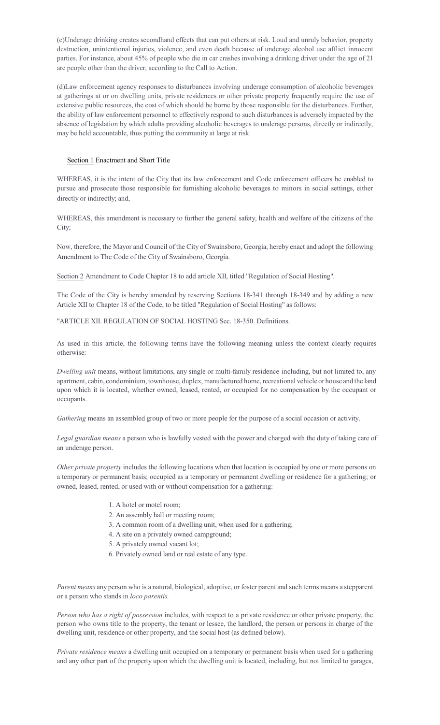(c)Underage drinking creates secondhand effects that can put others at risk. Loud and unruly behavior, property destruction, unintentional injuries, violence, and even death because of underage alcohol use afflict innocent parties. For instance, about 45% of people who die in car crashes involving a drinking driver under the age of 21 are people other than the driver, according to the Call to Action.

(d)Law enforcement agency responses to disturbances involving underage consumption of alcoholic beverages at gatherings at or on dwelling units, private residences or other private property frequently require the use of extensive public resources, the cost of which should be borne by those responsible for the disturbances. Further, the ability of law enforcement personnel to effectively respond to such disturbances is adversely impacted by the absence of legislation by which adults providing alcoholic beverages to underage persons, directly or indirectly, may be held accountable, thus putting the community at large at risk.

#### Section 1 Enactment and Short Title

WHEREAS, it is the intent of the City that its law enforcement and Code enforcement officers be enabled to pursue and prosecute those responsible for furnishing alcoholic beverages to minors in social settings, either directly or indirectly; and,

WHEREAS, this amendment is necessary to further the general safety, health and welfare of the citizens of the City;

Now, therefore, the Mayor and Council of the City of Swainsboro, Georgia, hereby enact and adopt the following Amendment to The Code of the City of Swainsboro, Georgia.

Section 2 Amendment to Code Chapter 18 to add article XII, titled "Regulation of Social Hosting".

The Code of the City is hereby amended by reserving Sections 18-341 through 18-349 and by adding a new Article XII to Chapter 18 of the Code, to be titled "Regulation of Social Hosting" as follows:

"ARTICLE XII. REGULATION OF SOCIAL HOSTING Sec. 18-350. Definitions.

As used in this article, the following terms have the following meaning unless the context clearly requires otherwise:

*Dwelling unit* means, without limitations, any single or multi-family residence including, but not limited to, any apartment, cabin, condominium, townhouse, duplex, manufactured home, recreational vehicle or house and the land upon which it is located, whether owned, leased, rented, or occupied for no compensation by the occupant or occupants.

*Gathering* means an assembled group of two or more people for the purpose of a social occasion or activity.

*Legal guardian means* a person who is lawfully vested with the power and charged with the duty of taking care of an underage person.

*Other private property* includes the following locations when that location is occupied by one or more persons on a temporary or permanent basis; occupied as a temporary or permanent dwelling or residence for a gathering; or owned, leased, rented, or used with or without compensation for a gathering:

- 1. A hotel or motel room;
- 2. An assembly hall or meeting room;
- 3. A common room of a dwelling unit, when used for a gathering;
- 4. A site on a privately owned campground;
- 5. A privately owned vacant lot;
- 6. Privately owned land or real estate of any type.

*Parent means* any person who is a natural, biological, adoptive, or foster parent and such terms means a stepparent or a person who stands in *loco parentis.*

*Person who has a right of possession* includes, with respect to a private residence or other private property, the person who owns title to the property, the tenant or lessee, the landlord, the person or persons in charge of the dwelling unit, residence or other property, and the social host (as defined below).

*Private residence means* a dwelling unit occupied on a temporary or permanent basis when used for a gathering and any other part of the property upon which the dwelling unit is located, including, but not limited to garages,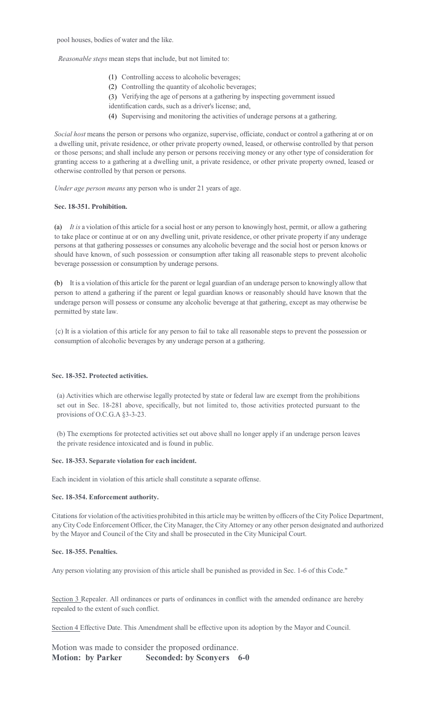*Reasonable steps* mean steps that include, but not limited to:

- (1) Controlling access to alcoholic beverages;
- (2) Controlling the quantity of alcoholic beverages;
- (3) Verifying the age of persons at a gathering by inspecting government issued
- identification cards, such as a driver's license; and,
- (4) Supervising and monitoring the activities of underage persons at a gathering.

*Social host* means the person or persons who organize, supervise, officiate, conduct or control a gathering at or on a dwelling unit, private residence, or other private property owned, leased, or otherwise controlled by that person or those persons; and shall include any person or persons receiving money or any other type of consideration for granting access to a gathering at a dwelling unit, a private residence, or other private property owned, leased or otherwise controlled by that person or persons.

*Under age person means* any person who is under 21 years of age.

#### **Sec. 18-351. Prohibition.**

(a) *It is* a violation of this article for a social host or any person to knowingly host, permit, or allow a gathering to take place or continue at or on any dwelling unit, private residence, or other private property if any underage persons at that gathering possesses or consumes any alcoholic beverage and the social host or person knows or should have known, of such possession or consumption after taking all reasonable steps to prevent alcoholic beverage possession or consumption by underage persons.

(b) It is a violation ofthis article for the parent or legal guardian of an underage person to knowingly allow that person to attend a gathering if the parent or legal guardian knows or reasonably should have known that the underage person will possess or consume any alcoholic beverage at that gathering, except as may otherwise be permitted by state law.

{c) It is a violation of this article for any person to fail to take all reasonable steps to prevent the possession or consumption of alcoholic beverages by any underage person at a gathering.

### **Sec. 18-352. Protected activities.**

(a) Activities which are otherwise legally protected by state or federal law are exempt from the prohibitions set out in Sec. 18-281 above, specifically, but not limited to, those activities protected pursuant to the provisions of O.C.G.A §3-3-23.

(b) The exemptions for protected activities set out above shall no longer apply if an underage person leaves the private residence intoxicated and is found in public.

#### **Sec. 18-353. Separate violation for each incident.**

Each incident in violation of this article shall constitute a separate offense.

#### **Sec. 18-354. Enforcement authority.**

Citations for violation of the activities prohibited in this article may be written by officers of the City Police Department, anyCityCode Enforcement Officer, the City Manager, the City Attorney or any other person designated and authorized by the Mayor and Council of the City and shall be prosecuted in the City Municipal Court.

### **Sec. 18-355. Penalties.**

Any person violating any provision of this article shall be punished as provided in Sec. 1-6 of this Code."

Section 3 Repealer. All ordinances or parts of ordinances in conflict with the amended ordinance are hereby repealed to the extent of such conflict.

Section 4 Effective Date. This Amendment shall be effective upon its adoption by the Mayor and Council.

Motion was made to consider the proposed ordinance. **Motion: by Parker Seconded: by Sconyers 6-0**